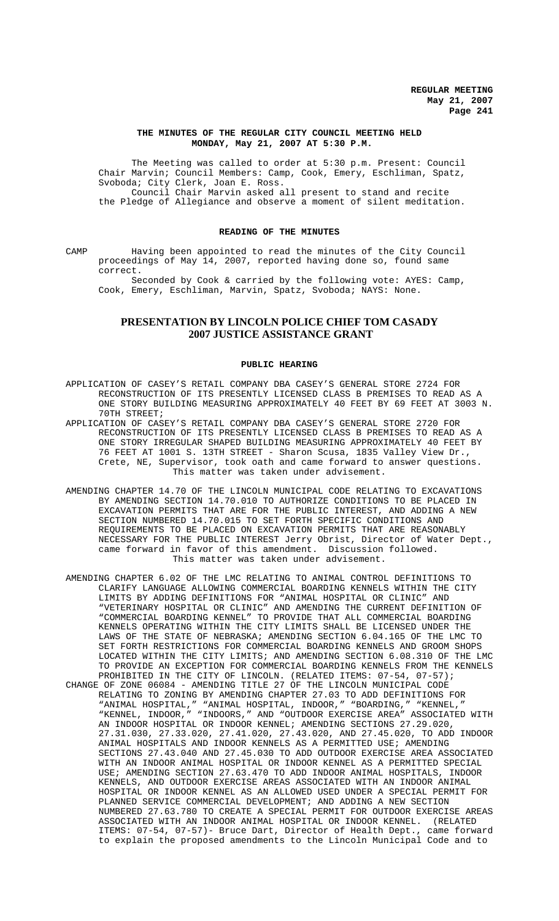## **THE MINUTES OF THE REGULAR CITY COUNCIL MEETING HELD MONDAY, May 21, 2007 AT 5:30 P.M.**

The Meeting was called to order at 5:30 p.m. Present: Council Chair Marvin; Council Members: Camp, Cook, Emery, Eschliman, Spatz, Svoboda; City Clerk, Joan E. Ross. Council Chair Marvin asked all present to stand and recite the Pledge of Allegiance and observe a moment of silent meditation.

## **READING OF THE MINUTES**

CAMP Having been appointed to read the minutes of the City Council proceedings of May 14, 2007, reported having done so, found same correct.

Seconded by Cook & carried by the following vote: AYES: Camp, Cook, Emery, Eschliman, Marvin, Spatz, Svoboda; NAYS: None.

# **PRESENTATION BY LINCOLN POLICE CHIEF TOM CASADY 2007 JUSTICE ASSISTANCE GRANT**

## **PUBLIC HEARING**

- APPLICATION OF CASEY'S RETAIL COMPANY DBA CASEY'S GENERAL STORE 2724 FOR RECONSTRUCTION OF ITS PRESENTLY LICENSED CLASS B PREMISES TO READ AS A ONE STORY BUILDING MEASURING APPROXIMATELY 40 FEET BY 69 FEET AT 3003 N. 70TH STREET;
- APPLICATION OF CASEY'S RETAIL COMPANY DBA CASEY'S GENERAL STORE 2720 FOR RECONSTRUCTION OF ITS PRESENTLY LICENSED CLASS B PREMISES TO READ AS A ONE STORY IRREGULAR SHAPED BUILDING MEASURING APPROXIMATELY 40 FEET BY 76 FEET AT 1001 S. 13TH STREET - Sharon Scusa, 1835 Valley View Dr., Crete, NE, Supervisor, took oath and came forward to answer questions. This matter was taken under advisement.
- AMENDING CHAPTER 14.70 OF THE LINCOLN MUNICIPAL CODE RELATING TO EXCAVATIONS BY AMENDING SECTION 14.70.010 TO AUTHORIZE CONDITIONS TO BE PLACED IN EXCAVATION PERMITS THAT ARE FOR THE PUBLIC INTEREST, AND ADDING A NEW SECTION NUMBERED 14.70.015 TO SET FORTH SPECIFIC CONDITIONS AND REQUIREMENTS TO BE PLACED ON EXCAVATION PERMITS THAT ARE REASONABLY NECESSARY FOR THE PUBLIC INTEREST Jerry Obrist, Director of Water Dept., came forward in favor of this amendment. Discussion followed. This matter was taken under advisement.
- AMENDING CHAPTER 6.02 OF THE LMC RELATING TO ANIMAL CONTROL DEFINITIONS TO CLARIFY LANGUAGE ALLOWING COMMERCIAL BOARDING KENNELS WITHIN THE CITY LIMITS BY ADDING DEFINITIONS FOR "ANIMAL HOSPITAL OR CLINIC" AND "VETERINARY HOSPITAL OR CLINIC" AND AMENDING THE CURRENT DEFINITION OF "COMMERCIAL BOARDING KENNEL" TO PROVIDE THAT ALL COMMERCIAL BOARDING KENNELS OPERATING WITHIN THE CITY LIMITS SHALL BE LICENSED UNDER THE LAWS OF THE STATE OF NEBRASKA; AMENDING SECTION 6.04.165 OF THE LMC TO SET FORTH RESTRICTIONS FOR COMMERCIAL BOARDING KENNELS AND GROOM SHOPS LOCATED WITHIN THE CITY LIMITS; AND AMENDING SECTION 6.08.310 OF THE LMC TO PROVIDE AN EXCEPTION FOR COMMERCIAL BOARDING KENNELS FROM THE KENNELS PROHIBITED IN THE CITY OF LINCOLN. (RELATED ITEMS: 07-54, 07-57); CHANGE OF ZONE 06084 - AMENDING TITLE 27 OF THE LINCOLN MUNICIPAL CODE RELATING TO ZONING BY AMENDING CHAPTER 27.03 TO ADD DEFINITIONS FOR "ANIMAL HOSPITAL," "ANIMAL HOSPITAL, INDOOR," "BOARDING," "KENNEL," "KENNEL, INDOOR," "INDOORS," AND "OUTDOOR EXERCISE AREA" ASSOCIATED WITH AN INDOOR HOSPITAL OR INDOOR KENNEL; AMENDING SECTIONS 27.29.020, 27.31.030, 27.33.020, 27.41.020, 27.43.020, AND 27.45.020, TO ADD INDOOR ANIMAL HOSPITALS AND INDOOR KENNELS AS A PERMITTED USE; AMENDING SECTIONS 27.43.040 AND 27.45.030 TO ADD OUTDOOR EXERCISE AREA ASSOCIATED WITH AN INDOOR ANIMAL HOSPITAL OR INDOOR KENNEL AS A PERMITTED SPECIAL USE; AMENDING SECTION 27.63.470 TO ADD INDOOR ANIMAL HOSPITALS, INDOOR KENNELS, AND OUTDOOR EXERCISE AREAS ASSOCIATED WITH AN INDOOR ANIMAL HOSPITAL OR INDOOR KENNEL AS AN ALLOWED USED UNDER A SPECIAL PERMIT FOR PLANNED SERVICE COMMERCIAL DEVELOPMENT; AND ADDING A NEW SECTION NUMBERED 27.63.780 TO CREATE A SPECIAL PERMIT FOR OUTDOOR EXERCISE AREAS ASSOCIATED WITH AN INDOOR ANIMAL HOSPITAL OR INDOOR KENNEL. (RELATED ITEMS: 07-54, 07-57)- Bruce Dart, Director of Health Dept., came forward to explain the proposed amendments to the Lincoln Municipal Code and to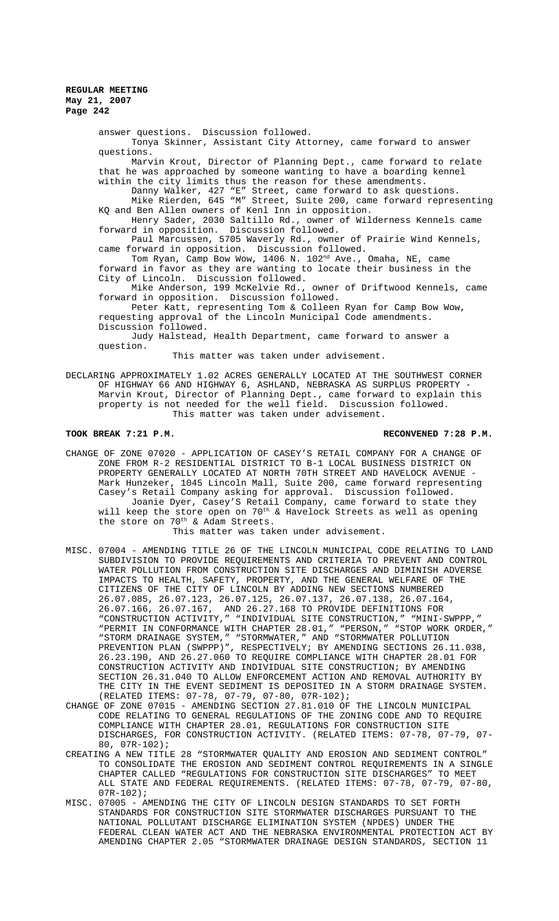> answer questions. Discussion followed. Tonya Skinner, Assistant City Attorney, came forward to answer questions. Marvin Krout, Director of Planning Dept., came forward to relate that he was approached by someone wanting to have a boarding kennel within the city limits thus the reason for these amendments. Danny Walker, 427 "E" Street, came forward to ask questions. Mike Rierden, 645 "M" Street, Suite 200, came forward representing KQ and Ben Allen owners of Kenl Inn in opposition. Henry Sader, 2030 Saltillo Rd., owner of Wilderness Kennels came forward in opposition. Discussion followed. Paul Marcussen, 5705 Waverly Rd., owner of Prairie Wind Kennels, came forward in opposition. Discussion followed. Tom Ryan, Camp Bow Wow, 1406 N. 102<sup>nd</sup> Ave., Omaha, NE, came forward in favor as they are wanting to locate their business in the City of Lincoln. Discussion followed. Mike Anderson, 199 McKelvie Rd., owner of Driftwood Kennels, came forward in opposition. Discussion followed. Peter Katt, representing Tom & Colleen Ryan for Camp Bow Wow, requesting approval of the Lincoln Municipal Code amendments. Discussion followed.

Judy Halstead, Health Department, came forward to answer a question.

This matter was taken under advisement.

DECLARING APPROXIMATELY 1.02 ACRES GENERALLY LOCATED AT THE SOUTHWEST CORNER OF HIGHWAY 66 AND HIGHWAY 6, ASHLAND, NEBRASKA AS SURPLUS PROPERTY - Marvin Krout, Director of Planning Dept., came forward to explain this property is not needed for the well field. Discussion followed. This matter was taken under advisement.

## **TOOK BREAK 7:21 P.M. RECONVENED 7:28 P.M.**

CHANGE OF ZONE 07020 - APPLICATION OF CASEY'S RETAIL COMPANY FOR A CHANGE OF ZONE FROM R-2 RESIDENTIAL DISTRICT TO B-1 LOCAL BUSINESS DISTRICT ON PROPERTY GENERALLY LOCATED AT NORTH 70TH STREET AND HAVELOCK AVENUE - Mark Hunzeker, 1045 Lincoln Mall, Suite 200, came forward representing Casey's Retail Company asking for approval. Discussion followed. Joanie Dyer, Casey'S Retail Company, came forward to state they will keep the store open on  $70^{th}$  & Havelock Streets as well as opening the store on  $70^{\text{th}}$  & Adam Streets.

## This matter was taken under advisement.

- MISC. 07004 AMENDING TITLE 26 OF THE LINCOLN MUNICIPAL CODE RELATING TO LAND SUBDIVISION TO PROVIDE REQUIREMENTS AND CRITERIA TO PREVENT AND CONTROL WATER POLLUTION FROM CONSTRUCTION SITE DISCHARGES AND DIMINISH ADVERSE IMPACTS TO HEALTH, SAFETY, PROPERTY, AND THE GENERAL WELFARE OF THE CITIZENS OF THE CITY OF LINCOLN BY ADDING NEW SECTIONS NUMBERED 26.07.085, 26.07.123, 26.07.125, 26.07.137, 26.07.138, 26.07.164, 26.07.166, 26.07.167, AND 26.27.168 TO PROVIDE DEFINITIONS FOR "CONSTRUCTION ACTIVITY," "INDIVIDUAL SITE CONSTRUCTION," "MINI-SWPPP," "PERMIT IN CONFORMANCE WITH CHAPTER 28.01," "PERSON," "STOP WORK ORDER," "STORM DRAINAGE SYSTEM," "STORMWATER," AND "STORMWATER POLLUTION PREVENTION PLAN (SWPPP)", RESPECTIVELY; BY AMENDING SECTIONS 26.11.038, 26.23.190, AND 26.27.060 TO REQUIRE COMPLIANCE WITH CHAPTER 28.01 FOR CONSTRUCTION ACTIVITY AND INDIVIDUAL SITE CONSTRUCTION; BY AMENDING SECTION 26.31.040 TO ALLOW ENFORCEMENT ACTION AND REMOVAL AUTHORITY BY THE CITY IN THE EVENT SEDIMENT IS DEPOSITED IN A STORM DRAINAGE SYSTEM. (RELATED ITEMS: 07-78, 07-79, 07-80, 07R-102);
- CHANGE OF ZONE 07015 AMENDING SECTION 27.81.010 OF THE LINCOLN MUNICIPAL CODE RELATING TO GENERAL REGULATIONS OF THE ZONING CODE AND TO REQUIRE COMPLIANCE WITH CHAPTER 28.01, REGULATIONS FOR CONSTRUCTION SITE DISCHARGES, FOR CONSTRUCTION ACTIVITY. (RELATED ITEMS: 07-78, 07-79, 07- 80, 07R-102);
- CREATING A NEW TITLE 28 "STORMWATER QUALITY AND EROSION AND SEDIMENT CONTROL" TO CONSOLIDATE THE EROSION AND SEDIMENT CONTROL REQUIREMENTS IN A SINGLE CHAPTER CALLED "REGULATIONS FOR CONSTRUCTION SITE DISCHARGES" TO MEET ALL STATE AND FEDERAL REQUIREMENTS. (RELATED ITEMS: 07-78, 07-79, 07-80,  $07R-102$ ;
- MISC. 07005 AMENDING THE CITY OF LINCOLN DESIGN STANDARDS TO SET FORTH STANDARDS FOR CONSTRUCTION SITE STORMWATER DISCHARGES PURSUANT TO THE NATIONAL POLLUTANT DISCHARGE ELIMINATION SYSTEM (NPDES) UNDER THE FEDERAL CLEAN WATER ACT AND THE NEBRASKA ENVIRONMENTAL PROTECTION ACT BY AMENDING CHAPTER 2.05 "STORMWATER DRAINAGE DESIGN STANDARDS, SECTION 11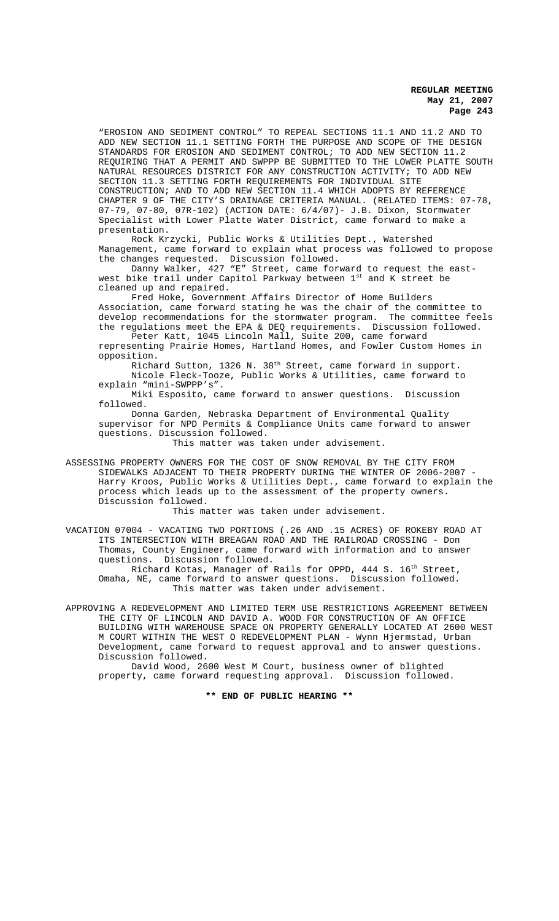"EROSION AND SEDIMENT CONTROL" TO REPEAL SECTIONS 11.1 AND 11.2 AND TO ADD NEW SECTION 11.1 SETTING FORTH THE PURPOSE AND SCOPE OF THE DESIGN STANDARDS FOR EROSION AND SEDIMENT CONTROL; TO ADD NEW SECTION 11.2 REQUIRING THAT A PERMIT AND SWPPP BE SUBMITTED TO THE LOWER PLATTE SOUTH NATURAL RESOURCES DISTRICT FOR ANY CONSTRUCTION ACTIVITY; TO ADD NEW SECTION 11.3 SETTING FORTH REQUIREMENTS FOR INDIVIDUAL SITE CONSTRUCTION; AND TO ADD NEW SECTION 11.4 WHICH ADOPTS BY REFERENCE CHAPTER 9 OF THE CITY'S DRAINAGE CRITERIA MANUAL. (RELATED ITEMS: 07-78, 07-79, 07-80, 07R-102) (ACTION DATE: 6/4/07)- J.B. Dixon, Stormwater Specialist with Lower Platte Water District, came forward to make a presentation.

Rock Krzycki, Public Works & Utilities Dept., Watershed Management, came forward to explain what process was followed to propose the changes requested. Discussion followed.

Danny Walker, 427 "E" Street, came forward to request the eastwest bike trail under Capitol Parkway between 1st and K street be cleaned up and repaired.

Fred Hoke, Government Affairs Director of Home Builders Association, came forward stating he was the chair of the committee to develop recommendations for the stormwater program. The committee feels the regulations meet the EPA & DEQ requirements. Discussion followed.

Peter Katt, 1045 Lincoln Mall, Suite 200, came forward representing Prairie Homes, Hartland Homes, and Fowler Custom Homes in opposition.

Richard Sutton, 1326 N. 38<sup>th</sup> Street, came forward in support. Nicole Fleck-Tooze, Public Works & Utilities, came forward to

explain "mini-SWPPP's". Miki Esposito, came forward to answer questions. Discussion followed.

Donna Garden, Nebraska Department of Environmental Quality supervisor for NPD Permits & Compliance Units came forward to answer questions. Discussion followed.

This matter was taken under advisement.

ASSESSING PROPERTY OWNERS FOR THE COST OF SNOW REMOVAL BY THE CITY FROM SIDEWALKS ADJACENT TO THEIR PROPERTY DURING THE WINTER OF 2006-2007 - Harry Kroos, Public Works & Utilities Dept., came forward to explain the process which leads up to the assessment of the property owners. Discussion followed.

This matter was taken under advisement.

VACATION 07004 - VACATING TWO PORTIONS (.26 AND .15 ACRES) OF ROKEBY ROAD AT ITS INTERSECTION WITH BREAGAN ROAD AND THE RAILROAD CROSSING - Don Thomas, County Engineer, came forward with information and to answer questions. Discussion followed.

Richard Kotas, Manager of Rails for OPPD, 444 S. 16<sup>th</sup> Street, Omaha, NE, came forward to answer questions. Discussion followed. This matter was taken under advisement.

APPROVING A REDEVELOPMENT AND LIMITED TERM USE RESTRICTIONS AGREEMENT BETWEEN THE CITY OF LINCOLN AND DAVID A. WOOD FOR CONSTRUCTION OF AN OFFICE BUILDING WITH WAREHOUSE SPACE ON PROPERTY GENERALLY LOCATED AT 2600 WEST M COURT WITHIN THE WEST O REDEVELOPMENT PLAN - Wynn Hjermstad, Urban Development, came forward to request approval and to answer questions. Discussion followed.

David Wood, 2600 West M Court, business owner of blighted property, came forward requesting approval. Discussion followed.

**\*\* END OF PUBLIC HEARING \*\***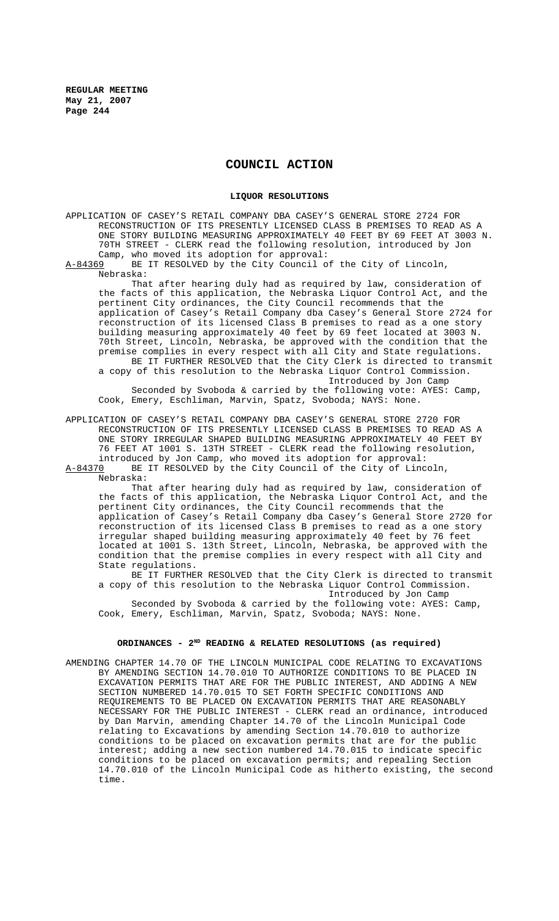## **COUNCIL ACTION**

#### **LIQUOR RESOLUTIONS**

APPLICATION OF CASEY'S RETAIL COMPANY DBA CASEY'S GENERAL STORE 2724 FOR RECONSTRUCTION OF ITS PRESENTLY LICENSED CLASS B PREMISES TO READ AS A ONE STORY BUILDING MEASURING APPROXIMATELY 40 FEET BY 69 FEET AT 3003 N. 70TH STREET - CLERK read the following resolution, introduced by Jon Camp, who moved its adoption for approval:<br>A-84369 BE IT RESOLVED by the City Council o

BE IT RESOLVED by the City Council of the City of Lincoln, Nebraska:

That after hearing duly had as required by law, consideration of the facts of this application, the Nebraska Liquor Control Act, and the pertinent City ordinances, the City Council recommends that the application of Casey's Retail Company dba Casey's General Store 2724 for reconstruction of its licensed Class B premises to read as a one story building measuring approximately 40 feet by 69 feet located at 3003 N. 70th Street, Lincoln, Nebraska, be approved with the condition that the premise complies in every respect with all City and State regulations. BE IT FURTHER RESOLVED that the City Clerk is directed to transmit a copy of this resolution to the Nebraska Liquor Control Commission. Introduced by Jon Camp

Seconded by Svoboda & carried by the following vote: AYES: Camp, Cook, Emery, Eschliman, Marvin, Spatz, Svoboda; NAYS: None.

APPLICATION OF CASEY'S RETAIL COMPANY DBA CASEY'S GENERAL STORE 2720 FOR RECONSTRUCTION OF ITS PRESENTLY LICENSED CLASS B PREMISES TO READ AS A ONE STORY IRREGULAR SHAPED BUILDING MEASURING APPROXIMATELY 40 FEET BY 76 FEET AT 1001 S. 13TH STREET - CLERK read the following resolution, introduced by Jon Camp, who moved its adoption for approval:<br>A-84370 BE IT RESOLVED by the City Council of the City of Linc BE IT RESOLVED by the City Council of the City of Lincoln, Nebraska:

That after hearing duly had as required by law, consideration of the facts of this application, the Nebraska Liquor Control Act, and the pertinent City ordinances, the City Council recommends that the application of Casey's Retail Company dba Casey's General Store 2720 for reconstruction of its licensed Class B premises to read as a one story irregular shaped building measuring approximately 40 feet by 76 feet located at 1001 S. 13th Street, Lincoln, Nebraska, be approved with the condition that the premise complies in every respect with all City and State regulations.

BE IT FURTHER RESOLVED that the City Clerk is directed to transmit a copy of this resolution to the Nebraska Liquor Control Commission. Introduced by Jon Camp

Seconded by Svoboda & carried by the following vote: AYES: Camp, Cook, Emery, Eschliman, Marvin, Spatz, Svoboda; NAYS: None.

# ORDINANCES - 2<sup>ND</sup> READING & RELATED RESOLUTIONS (as required)

AMENDING CHAPTER 14.70 OF THE LINCOLN MUNICIPAL CODE RELATING TO EXCAVATIONS BY AMENDING SECTION 14.70.010 TO AUTHORIZE CONDITIONS TO BE PLACED IN EXCAVATION PERMITS THAT ARE FOR THE PUBLIC INTEREST, AND ADDING A NEW SECTION NUMBERED 14.70.015 TO SET FORTH SPECIFIC CONDITIONS AND REQUIREMENTS TO BE PLACED ON EXCAVATION PERMITS THAT ARE REASONABLY NECESSARY FOR THE PUBLIC INTEREST - CLERK read an ordinance, introduced by Dan Marvin, amending Chapter 14.70 of the Lincoln Municipal Code relating to Excavations by amending Section 14.70.010 to authorize conditions to be placed on excavation permits that are for the public interest; adding a new section numbered 14.70.015 to indicate specific conditions to be placed on excavation permits; and repealing Section 14.70.010 of the Lincoln Municipal Code as hitherto existing, the second time.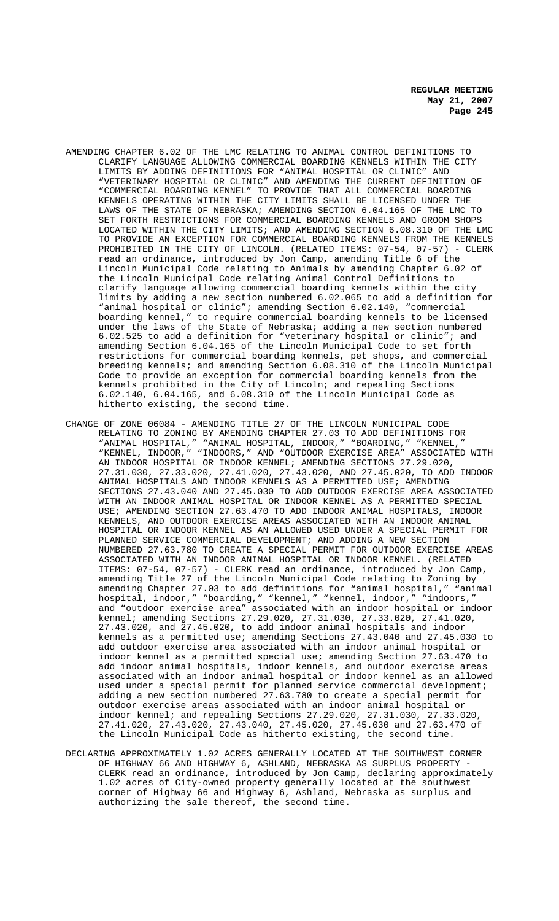- AMENDING CHAPTER 6.02 OF THE LMC RELATING TO ANIMAL CONTROL DEFINITIONS TO CLARIFY LANGUAGE ALLOWING COMMERCIAL BOARDING KENNELS WITHIN THE CITY LIMITS BY ADDING DEFINITIONS FOR "ANIMAL HOSPITAL OR CLINIC" AND "VETERINARY HOSPITAL OR CLINIC" AND AMENDING THE CURRENT DEFINITION OF "COMMERCIAL BOARDING KENNEL" TO PROVIDE THAT ALL COMMERCIAL BOARDING KENNELS OPERATING WITHIN THE CITY LIMITS SHALL BE LICENSED UNDER THE LAWS OF THE STATE OF NEBRASKA; AMENDING SECTION 6.04.165 OF THE LMC TO SET FORTH RESTRICTIONS FOR COMMERCIAL BOARDING KENNELS AND GROOM SHOPS LOCATED WITHIN THE CITY LIMITS; AND AMENDING SECTION 6.08.310 OF THE LMC TO PROVIDE AN EXCEPTION FOR COMMERCIAL BOARDING KENNELS FROM THE KENNELS PROHIBITED IN THE CITY OF LINCOLN. (RELATED ITEMS: 07-54, 07-57) - CLERK read an ordinance, introduced by Jon Camp, amending Title 6 of the Lincoln Municipal Code relating to Animals by amending Chapter 6.02 of the Lincoln Municipal Code relating Animal Control Definitions to clarify language allowing commercial boarding kennels within the city limits by adding a new section numbered 6.02.065 to add a definition for "animal hospital or clinic"; amending Section 6.02.140, "commercial to require commercial boarding kennels to be licensed under the laws of the State of Nebraska; adding a new section numbered 6.02.525 to add a definition for "veterinary hospital or clinic"; and amending Section 6.04.165 of the Lincoln Municipal Code to set forth restrictions for commercial boarding kennels, pet shops, and commercial breeding kennels; and amending Section 6.08.310 of the Lincoln Municipal Code to provide an exception for commercial boarding kennels from the kennels prohibited in the City of Lincoln; and repealing Sections 6.02.140, 6.04.165, and 6.08.310 of the Lincoln Municipal Code as hitherto existing, the second time.
- CHANGE OF ZONE 06084 AMENDING TITLE 27 OF THE LINCOLN MUNICIPAL CODE RELATING TO ZONING BY AMENDING CHAPTER 27.03 TO ADD DEFINITIONS FOR "ANIMAL HOSPITAL," "ANIMAL HOSPITAL, INDOOR," "BOARDING," "KENNEL," "KENNEL, INDOOR," "INDOORS," AND "OUTDOOR EXERCISE AREA" ASSOCIATED WITH AN INDOOR HOSPITAL OR INDOOR KENNEL; AMENDING SECTIONS 27.29.020, 27.31.030, 27.33.020, 27.41.020, 27.43.020, AND 27.45.020, TO ADD INDOOR ANIMAL HOSPITALS AND INDOOR KENNELS AS A PERMITTED USE; AMENDING SECTIONS 27.43.040 AND 27.45.030 TO ADD OUTDOOR EXERCISE AREA ASSOCIATED WITH AN INDOOR ANIMAL HOSPITAL OR INDOOR KENNEL AS A PERMITTED SPECIAL USE; AMENDING SECTION 27.63.470 TO ADD INDOOR ANIMAL HOSPITALS, INDOOR KENNELS, AND OUTDOOR EXERCISE AREAS ASSOCIATED WITH AN INDOOR ANIMAL HOSPITAL OR INDOOR KENNEL AS AN ALLOWED USED UNDER A SPECIAL PERMIT FOR PLANNED SERVICE COMMERCIAL DEVELOPMENT; AND ADDING A NEW SECTION NUMBERED 27.63.780 TO CREATE A SPECIAL PERMIT FOR OUTDOOR EXERCISE AREAS ASSOCIATED WITH AN INDOOR ANIMAL HOSPITAL OR INDOOR KENNEL. (RELATED ITEMS: 07-54, 07-57) - CLERK read an ordinance, introduced by Jon Camp, amending Title 27 of the Lincoln Municipal Code relating to Zoning by amending Chapter 27.03 to add definitions for "animal hospital," "animal hospital, indoor," "boarding," "kennel," "kennel, indoor," "indoors," and "outdoor exercise area" associated with an indoor hospital or indoor kennel; amending Sections 27.29.020, 27.31.030, 27.33.020, 27.41.020, 27.43.020, and 27.45.020, to add indoor animal hospitals and indoor kennels as a permitted use; amending Sections 27.43.040 and 27.45.030 to add outdoor exercise area associated with an indoor animal hospital or indoor kennel as a permitted special use; amending Section 27.63.470 to add indoor animal hospitals, indoor kennels, and outdoor exercise areas associated with an indoor animal hospital or indoor kennel as an allowed used under a special permit for planned service commercial development; adding a new section numbered 27.63.780 to create a special permit for outdoor exercise areas associated with an indoor animal hospital or indoor kennel; and repealing Sections 27.29.020, 27.31.030, 27.33.020, 27.41.020, 27.43.020, 27.43.040, 27.45.020, 27.45.030 and 27.63.470 of the Lincoln Municipal Code as hitherto existing, the second time.
- DECLARING APPROXIMATELY 1.02 ACRES GENERALLY LOCATED AT THE SOUTHWEST CORNER OF HIGHWAY 66 AND HIGHWAY 6, ASHLAND, NEBRASKA AS SURPLUS PROPERTY - CLERK read an ordinance, introduced by Jon Camp, declaring approximately 1.02 acres of City-owned property generally located at the southwest corner of Highway 66 and Highway 6, Ashland, Nebraska as surplus and authorizing the sale thereof, the second time.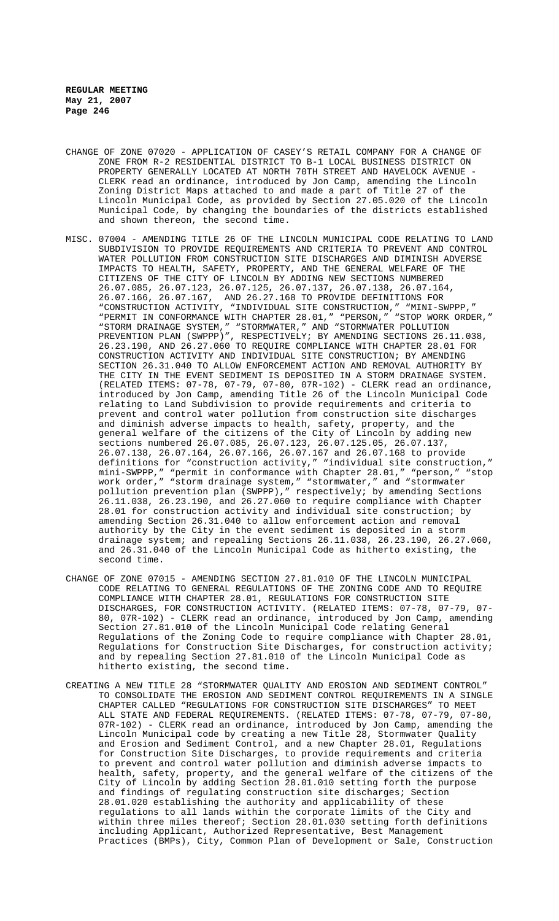- CHANGE OF ZONE 07020 APPLICATION OF CASEY'S RETAIL COMPANY FOR A CHANGE OF ZONE FROM R-2 RESIDENTIAL DISTRICT TO B-1 LOCAL BUSINESS DISTRICT ON PROPERTY GENERALLY LOCATED AT NORTH 70TH STREET AND HAVELOCK AVENUE CLERK read an ordinance, introduced by Jon Camp, amending the Lincoln Zoning District Maps attached to and made a part of Title 27 of the Lincoln Municipal Code, as provided by Section 27.05.020 of the Lincoln Municipal Code, by changing the boundaries of the districts established and shown thereon, the second time.
- MISC. 07004 AMENDING TITLE 26 OF THE LINCOLN MUNICIPAL CODE RELATING TO LAND SUBDIVISION TO PROVIDE REQUIREMENTS AND CRITERIA TO PREVENT AND CONTROL WATER POLLUTION FROM CONSTRUCTION SITE DISCHARGES AND DIMINISH ADVERSE IMPACTS TO HEALTH, SAFETY, PROPERTY, AND THE GENERAL WELFARE OF THE CITIZENS OF THE CITY OF LINCOLN BY ADDING NEW SECTIONS NUMBERED 26.07.085, 26.07.123, 26.07.125, 26.07.137, 26.07.138, 26.07.164, 26.07.166, 26.07.167, AND 26.27.168 TO PROVIDE DEFINITIONS FOR "CONSTRUCTION ACTIVITY, "INDIVIDUAL SITE CONSTRUCTION," "MINI-SWPPP," "PERMIT IN CONFORMANCE WITH CHAPTER 28.01," "PERSON," "STOP WORK ORDER," "STORM DRAINAGE SYSTEM," "STORMWATER," AND "STORMWATER POLLUTION PREVENTION PLAN (SWPPP)", RESPECTIVELY; BY AMENDING SECTIONS 26.11.038, 26.23.190, AND 26.27.060 TO REQUIRE COMPLIANCE WITH CHAPTER 28.01 FOR CONSTRUCTION ACTIVITY AND INDIVIDUAL SITE CONSTRUCTION; BY AMENDING SECTION 26.31.040 TO ALLOW ENFORCEMENT ACTION AND REMOVAL AUTHORITY BY THE CITY IN THE EVENT SEDIMENT IS DEPOSITED IN A STORM DRAINAGE SYSTEM. (RELATED ITEMS: 07-78, 07-79, 07-80, 07R-102) - CLERK read an ordinance, introduced by Jon Camp, amending Title 26 of the Lincoln Municipal Code relating to Land Subdivision to provide requirements and criteria to prevent and control water pollution from construction site discharges and diminish adverse impacts to health, safety, property, and the general welfare of the citizens of the City of Lincoln by adding new sections numbered 26.07.085, 26.07.123, 26.07.125.05, 26.07.137, 26.07.138, 26.07.164, 26.07.166, 26.07.167 and 26.07.168 to provide definitions for "construction activity," "individual site construction," mini-SWPPP," "permit in conformance with Chapter 28.01," "person," "stop work order," "storm drainage system," "stormwater," and "stormwater pollution prevention plan (SWPPP)," respectively; by amending Sections 26.11.038, 26.23.190, and 26.27.060 to require compliance with Chapter 28.01 for construction activity and individual site construction; by amending Section 26.31.040 to allow enforcement action and removal authority by the City in the event sediment is deposited in a storm drainage system; and repealing Sections 26.11.038, 26.23.190, 26.27.060, and 26.31.040 of the Lincoln Municipal Code as hitherto existing, the second time.
- CHANGE OF ZONE 07015 AMENDING SECTION 27.81.010 OF THE LINCOLN MUNICIPAL CODE RELATING TO GENERAL REGULATIONS OF THE ZONING CODE AND TO REQUIRE COMPLIANCE WITH CHAPTER 28.01, REGULATIONS FOR CONSTRUCTION SITE DISCHARGES, FOR CONSTRUCTION ACTIVITY. (RELATED ITEMS: 07-78, 07-79, 07- 80, 07R-102) - CLERK read an ordinance, introduced by Jon Camp, amending Section 27.81.010 of the Lincoln Municipal Code relating General Regulations of the Zoning Code to require compliance with Chapter 28.01, Regulations for Construction Site Discharges, for construction activity; and by repealing Section 27.81.010 of the Lincoln Municipal Code as hitherto existing, the second time.
- CREATING A NEW TITLE 28 "STORMWATER QUALITY AND EROSION AND SEDIMENT CONTROL" TO CONSOLIDATE THE EROSION AND SEDIMENT CONTROL REQUIREMENTS IN A SINGLE CHAPTER CALLED "REGULATIONS FOR CONSTRUCTION SITE DISCHARGES" TO MEET ALL STATE AND FEDERAL REQUIREMENTS. (RELATED ITEMS: 07-78, 07-79, 07-80, 07R-102) - CLERK read an ordinance, introduced by Jon Camp, amending the Lincoln Municipal code by creating a new Title 28, Stormwater Quality and Erosion and Sediment Control, and a new Chapter 28.01, Regulations for Construction Site Discharges, to provide requirements and criteria to prevent and control water pollution and diminish adverse impacts to health, safety, property, and the general welfare of the citizens of the City of Lincoln by adding Section 28.01.010 setting forth the purpose and findings of regulating construction site discharges; Section 28.01.020 establishing the authority and applicability of these regulations to all lands within the corporate limits of the City and within three miles thereof; Section 28.01.030 setting forth definitions including Applicant, Authorized Representative, Best Management Practices (BMPs), City, Common Plan of Development or Sale, Construction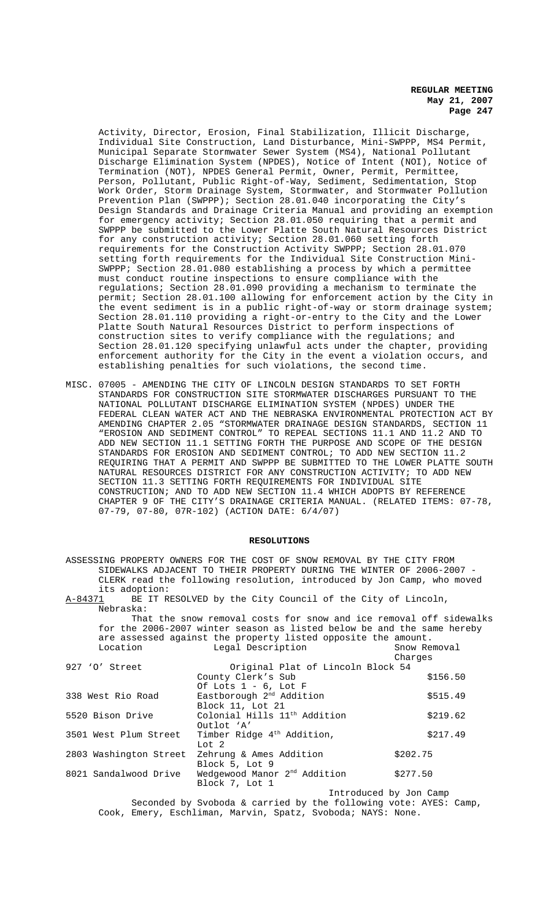Activity, Director, Erosion, Final Stabilization, Illicit Discharge, Individual Site Construction, Land Disturbance, Mini-SWPPP, MS4 Permit, Municipal Separate Stormwater Sewer System (MS4), National Pollutant Discharge Elimination System (NPDES), Notice of Intent (NOI), Notice of Termination (NOT), NPDES General Permit, Owner, Permit, Permittee, Person, Pollutant, Public Right-of-Way, Sediment, Sedimentation, Stop Work Order, Storm Drainage System, Stormwater, and Stormwater Pollution Prevention Plan (SWPPP); Section 28.01.040 incorporating the City's Design Standards and Drainage Criteria Manual and providing an exemption for emergency activity; Section 28.01.050 requiring that a permit and SWPPP be submitted to the Lower Platte South Natural Resources District for any construction activity; Section 28.01.060 setting forth requirements for the Construction Activity SWPPP; Section 28.01.070 setting forth requirements for the Individual Site Construction Mini-SWPPP; Section 28.01.080 establishing a process by which a permittee must conduct routine inspections to ensure compliance with the regulations; Section 28.01.090 providing a mechanism to terminate the permit; Section 28.01.100 allowing for enforcement action by the City in the event sediment is in a public right-of-way or storm drainage system; Section 28.01.110 providing a right-or-entry to the City and the Lower Platte South Natural Resources District to perform inspections of construction sites to verify compliance with the regulations; and Section 28.01.120 specifying unlawful acts under the chapter, providing enforcement authority for the City in the event a violation occurs, and establishing penalties for such violations, the second time.

MISC. 07005 - AMENDING THE CITY OF LINCOLN DESIGN STANDARDS TO SET FORTH STANDARDS FOR CONSTRUCTION SITE STORMWATER DISCHARGES PURSUANT TO THE NATIONAL POLLUTANT DISCHARGE ELIMINATION SYSTEM (NPDES) UNDER THE FEDERAL CLEAN WATER ACT AND THE NEBRASKA ENVIRONMENTAL PROTECTION ACT BY AMENDING CHAPTER 2.05 "STORMWATER DRAINAGE DESIGN STANDARDS, SECTION 11 "EROSION AND SEDIMENT CONTROL" TO REPEAL SECTIONS 11.1 AND 11.2 AND TO ADD NEW SECTION 11.1 SETTING FORTH THE PURPOSE AND SCOPE OF THE DESIGN STANDARDS FOR EROSION AND SEDIMENT CONTROL; TO ADD NEW SECTION 11.2 REQUIRING THAT A PERMIT AND SWPPP BE SUBMITTED TO THE LOWER PLATTE SOUTH NATURAL RESOURCES DISTRICT FOR ANY CONSTRUCTION ACTIVITY; TO ADD NEW SECTION 11.3 SETTING FORTH REQUIREMENTS FOR INDIVIDUAL SITE CONSTRUCTION; AND TO ADD NEW SECTION 11.4 WHICH ADOPTS BY REFERENCE CHAPTER 9 OF THE CITY'S DRAINAGE CRITERIA MANUAL. (RELATED ITEMS: 07-78, 07-79, 07-80, 07R-102) (ACTION DATE: 6/4/07)

## **RESOLUTIONS**

ASSESSING PROPERTY OWNERS FOR THE COST OF SNOW REMOVAL BY THE CITY FROM SIDEWALKS ADJACENT TO THEIR PROPERTY DURING THE WINTER OF 2006-2007 - CLERK read the following resolution, introduced by Jon Camp, who moved its adoption:<br><u>A-84371</u> BE IT R

BE IT RESOLVED by the City Council of the City of Lincoln, Nebraska:

Of Lots 1 - 6, Lot F

Block 11, Lot 21

That the snow removal costs for snow and ice removal off sidewalks for the 2006-2007 winter season as listed below be and the same hereby are assessed against the property listed opposite the amount.<br>Location and Legal Description and Snow Removal Location Clegal Description Charges 927 'O' Street **Original Plat of Lincoln Block 54** County Clerk's Sub \$156.50

338 West Rio Road  $E$ Eastborough 2<sup>nd</sup> Addition  $$515.49$ 

5520 Bison Drive Colonial Hills 11th Addition \$219.62

Outlot 'A' 3501 West Plum Street Timber Ridge 4<sup>th</sup> Addition,  $$217.49$ 

Lot 2 2803 Washington Street Zehrung & Ames Addition \$202.75 Block 5, Lot 9 8021 Sandalwood Drive Wedgewood Manor 2nd Addition \$277.50 Block 7, Lot 1

Introduced by Jon Camp Seconded by Svoboda & carried by the following vote: AYES: Camp, Cook, Emery, Eschliman, Marvin, Spatz, Svoboda; NAYS: None.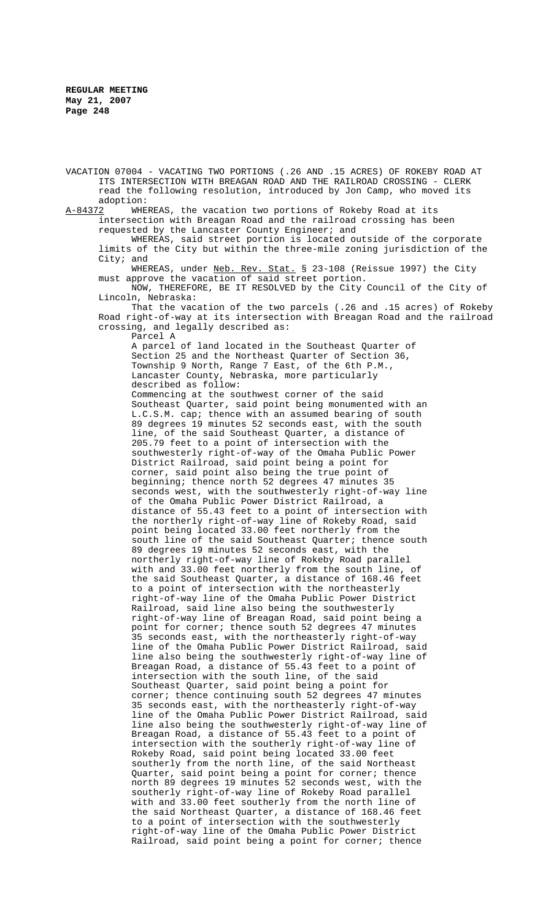VACATION 07004 - VACATING TWO PORTIONS (.26 AND .15 ACRES) OF ROKEBY ROAD AT ITS INTERSECTION WITH BREAGAN ROAD AND THE RAILROAD CROSSING - CLERK read the following resolution, introduced by Jon Camp, who moved its adoption:<br>A-84372 WHE

WHEREAS, the vacation two portions of Rokeby Road at its intersection with Breagan Road and the railroad crossing has been requested by the Lancaster County Engineer; and

WHEREAS, said street portion is located outside of the corporate limits of the City but within the three-mile zoning jurisdiction of the City; and

WHEREAS, under Neb. Rev. Stat. § 23-108 (Reissue 1997) the City must approve the vacation of said street portion.

NOW, THEREFORE, BE IT RESOLVED by the City Council of the City of Lincoln, Nebraska:

That the vacation of the two parcels (.26 and .15 acres) of Rokeby Road right-of-way at its intersection with Breagan Road and the railroad crossing, and legally described as:

Parcel A

A parcel of land located in the Southeast Quarter of Section 25 and the Northeast Quarter of Section 36, Township 9 North, Range 7 East, of the 6th P.M., Lancaster County, Nebraska, more particularly described as follow:

Commencing at the southwest corner of the said Southeast Quarter, said point being monumented with an L.C.S.M. cap; thence with an assumed bearing of south 89 degrees 19 minutes 52 seconds east, with the south line, of the said Southeast Quarter, a distance of 205.79 feet to a point of intersection with the southwesterly right-of-way of the Omaha Public Power District Railroad, said point being a point for corner, said point also being the true point of beginning; thence north 52 degrees 47 minutes 35 seconds west, with the southwesterly right-of-way line of the Omaha Public Power District Railroad, a distance of 55.43 feet to a point of intersection with the northerly right-of-way line of Rokeby Road, said point being located 33.00 feet northerly from the south line of the said Southeast Quarter; thence south 89 degrees 19 minutes 52 seconds east, with the northerly right-of-way line of Rokeby Road parallel with and 33.00 feet northerly from the south line, of the said Southeast Quarter, a distance of 168.46 feet to a point of intersection with the northeasterly right-of-way line of the Omaha Public Power District Railroad, said line also being the southwesterly right-of-way line of Breagan Road, said point being a point for corner; thence south 52 degrees 47 minutes 35 seconds east, with the northeasterly right-of-way line of the Omaha Public Power District Railroad, said line also being the southwesterly right-of-way line of Breagan Road, a distance of 55.43 feet to a point of intersection with the south line, of the said Southeast Quarter, said point being a point for corner; thence continuing south 52 degrees 47 minutes 35 seconds east, with the northeasterly right-of-way line of the Omaha Public Power District Railroad, said line also being the southwesterly right-of-way line of Breagan Road, a distance of 55.43 feet to a point of intersection with the southerly right-of-way line of Rokeby Road, said point being located 33.00 feet southerly from the north line, of the said Northeast Quarter, said point being a point for corner; thence north 89 degrees 19 minutes 52 seconds west, with the southerly right-of-way line of Rokeby Road parallel with and 33.00 feet southerly from the north line of the said Northeast Quarter, a distance of 168.46 feet to a point of intersection with the southwesterly right-of-way line of the Omaha Public Power District Railroad, said point being a point for corner; thence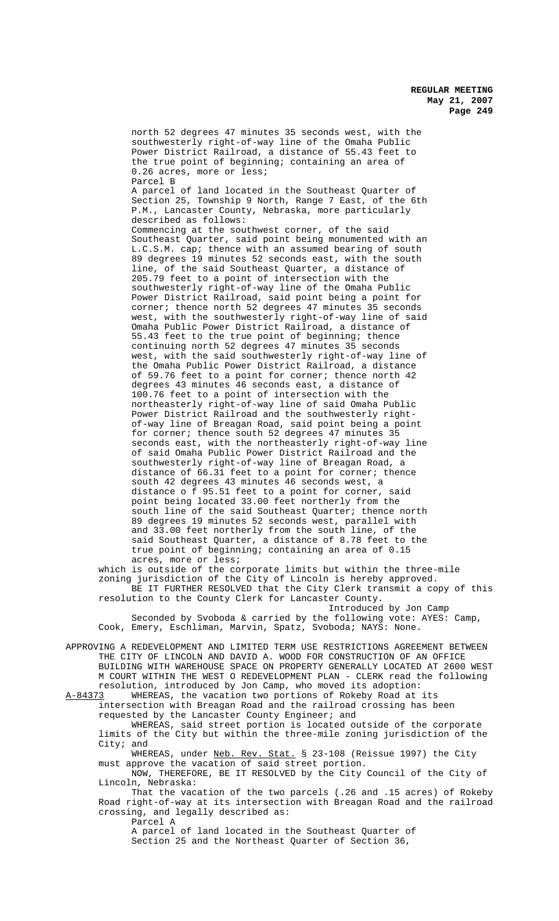north 52 degrees 47 minutes 35 seconds west, with the southwesterly right-of-way line of the Omaha Public Power District Railroad, a distance of 55.43 feet to the true point of beginning; containing an area of 0.26 acres, more or less; Parcel B A parcel of land located in the Southeast Quarter of Section 25, Township 9 North, Range 7 East, of the 6th P.M., Lancaster County, Nebraska, more particularly described as follows: Commencing at the southwest corner, of the said Southeast Quarter, said point being monumented with an L.C.S.M. cap; thence with an assumed bearing of south 89 degrees 19 minutes 52 seconds east, with the south line, of the said Southeast Quarter, a distance of 205.79 feet to a point of intersection with the southwesterly right-of-way line of the Omaha Public Power District Railroad, said point being a point for corner; thence north 52 degrees 47 minutes 35 seconds west, with the southwesterly right-of-way line of said Omaha Public Power District Railroad, a distance of 55.43 feet to the true point of beginning; thence continuing north 52 degrees 47 minutes 35 seconds west, with the said southwesterly right-of-way line of the Omaha Public Power District Railroad, a distance of 59.76 feet to a point for corner; thence north 42 degrees 43 minutes 46 seconds east, a distance of 100.76 feet to a point of intersection with the northeasterly right-of-way line of said Omaha Public Power District Railroad and the southwesterly rightof-way line of Breagan Road, said point being a point for corner; thence south 52 degrees 47 minutes 35 seconds east, with the northeasterly right-of-way line of said Omaha Public Power District Railroad and the southwesterly right-of-way line of Breagan Road, a distance of 66.31 feet to a point for corner; thence south 42 degrees 43 minutes 46 seconds west, a distance o f 95.51 feet to a point for corner, said point being located 33.00 feet northerly from the south line of the said Southeast Quarter; thence north 89 degrees 19 minutes 52 seconds west, parallel with and 33.00 feet northerly from the south line, of the said Southeast Quarter, a distance of 8.78 feet to the true point of beginning; containing an area of 0.15 acres, more or less;

which is outside of the corporate limits but within the three-mile zoning jurisdiction of the City of Lincoln is hereby approved.

BE IT FURTHER RESOLVED that the City Clerk transmit a copy of this resolution to the County Clerk for Lancaster County. Introduced by Jon Camp

Seconded by Svoboda & carried by the following vote: AYES: Camp, Cook, Emery, Eschliman, Marvin, Spatz, Svoboda; NAYS: None.

APPROVING A REDEVELOPMENT AND LIMITED TERM USE RESTRICTIONS AGREEMENT BETWEEN THE CITY OF LINCOLN AND DAVID A. WOOD FOR CONSTRUCTION OF AN OFFICE BUILDING WITH WAREHOUSE SPACE ON PROPERTY GENERALLY LOCATED AT 2600 WEST M COURT WITHIN THE WEST O REDEVELOPMENT PLAN - CLERK read the following resolution, introduced by Jon Camp, who moved its adoption:<br>A-84373 WHEREAS, the vacation two portions of Rokeby Road at

WHEREAS, the vacation two portions of Rokeby Road at its intersection with Breagan Road and the railroad crossing has been requested by the Lancaster County Engineer; and

WHEREAS, said street portion is located outside of the corporate limits of the City but within the three-mile zoning jurisdiction of the City; and

WHEREAS, under Neb. Rev. Stat. § 23-108 (Reissue 1997) the City must approve the vacation of said street portion.

NOW, THEREFORE, BE IT RESOLVED by the City Council of the City of Lincoln, Nebraska:

That the vacation of the two parcels (.26 and .15 acres) of Rokeby Road right-of-way at its intersection with Breagan Road and the railroad crossing, and legally described as:

Parcel A

A parcel of land located in the Southeast Quarter of Section 25 and the Northeast Quarter of Section 36,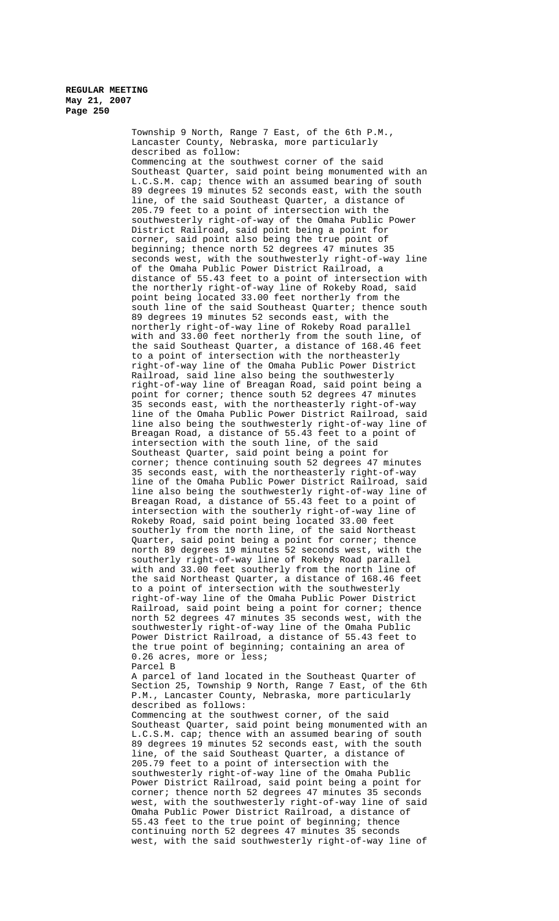Township 9 North, Range 7 East, of the 6th P.M., Lancaster County, Nebraska, more particularly described as follow: Commencing at the southwest corner of the said Southeast Quarter, said point being monumented with an L.C.S.M. cap; thence with an assumed bearing of south 89 degrees 19 minutes 52 seconds east, with the south line, of the said Southeast Quarter, a distance of 205.79 feet to a point of intersection with the southwesterly right-of-way of the Omaha Public Power District Railroad, said point being a point for corner, said point also being the true point of beginning; thence north 52 degrees 47 minutes 35 seconds west, with the southwesterly right-of-way line of the Omaha Public Power District Railroad, a distance of 55.43 feet to a point of intersection with the northerly right-of-way line of Rokeby Road, said point being located 33.00 feet northerly from the south line of the said Southeast Quarter; thence south 89 degrees 19 minutes 52 seconds east, with the northerly right-of-way line of Rokeby Road parallel with and 33.00 feet northerly from the south line, of the said Southeast Quarter, a distance of 168.46 feet to a point of intersection with the northeasterly right-of-way line of the Omaha Public Power District Railroad, said line also being the southwesterly right-of-way line of Breagan Road, said point being a point for corner; thence south 52 degrees 47 minutes 35 seconds east, with the northeasterly right-of-way line of the Omaha Public Power District Railroad, said line also being the southwesterly right-of-way line of Breagan Road, a distance of 55.43 feet to a point of intersection with the south line, of the said Southeast Quarter, said point being a point for corner; thence continuing south 52 degrees 47 minutes 35 seconds east, with the northeasterly right-of-way line of the Omaha Public Power District Railroad, said line also being the southwesterly right-of-way line of Breagan Road, a distance of 55.43 feet to a point of intersection with the southerly right-of-way line of Rokeby Road, said point being located 33.00 feet southerly from the north line, of the said Northeast Quarter, said point being a point for corner; thence north 89 degrees 19 minutes 52 seconds west, with the southerly right-of-way line of Rokeby Road parallel with and 33.00 feet southerly from the north line of the said Northeast Quarter, a distance of 168.46 feet to a point of intersection with the southwesterly right-of-way line of the Omaha Public Power District Railroad, said point being a point for corner; thence north 52 degrees 47 minutes 35 seconds west, with the southwesterly right-of-way line of the Omaha Public Power District Railroad, a distance of 55.43 feet to the true point of beginning; containing an area of 0.26 acres, more or less; Parcel B A parcel of land located in the Southeast Quarter of Section 25, Township 9 North, Range 7 East, of the 6th P.M., Lancaster County, Nebraska, more particularly described as follows: Commencing at the southwest corner, of the said

Southeast Quarter, said point being monumented with an L.C.S.M. cap; thence with an assumed bearing of south 89 degrees 19 minutes 52 seconds east, with the south line, of the said Southeast Quarter, a distance of 205.79 feet to a point of intersection with the southwesterly right-of-way line of the Omaha Public Power District Railroad, said point being a point for corner; thence north 52 degrees 47 minutes 35 seconds west, with the southwesterly right-of-way line of said Omaha Public Power District Railroad, a distance of 55.43 feet to the true point of beginning; thence continuing north 52 degrees 47 minutes 35 seconds west, with the said southwesterly right-of-way line of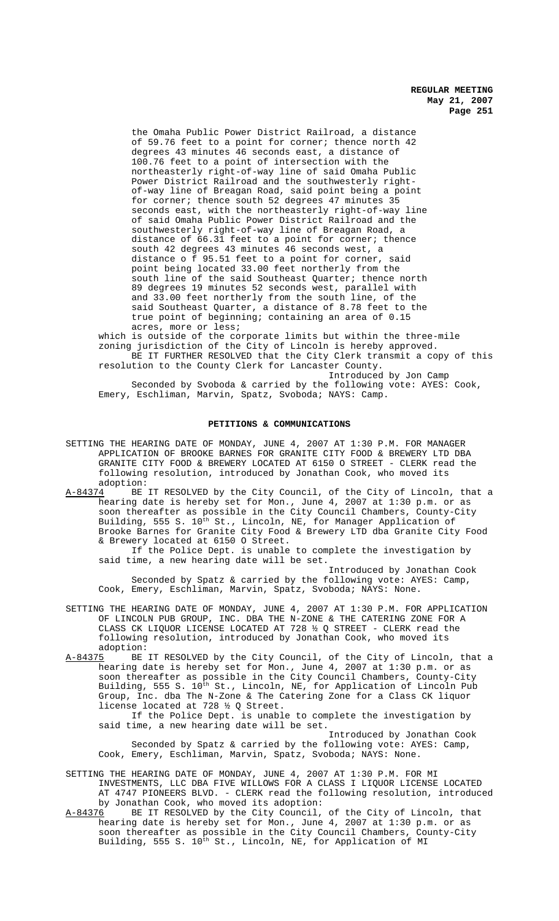the Omaha Public Power District Railroad, a distance of 59.76 feet to a point for corner; thence north 42 degrees 43 minutes 46 seconds east, a distance of 100.76 feet to a point of intersection with the northeasterly right-of-way line of said Omaha Public Power District Railroad and the southwesterly rightof-way line of Breagan Road, said point being a point for corner; thence south 52 degrees 47 minutes 35 seconds east, with the northeasterly right-of-way line of said Omaha Public Power District Railroad and the southwesterly right-of-way line of Breagan Road, a distance of 66.31 feet to a point for corner; thence south 42 degrees 43 minutes 46 seconds west, a distance o f 95.51 feet to a point for corner, said point being located 33.00 feet northerly from the south line of the said Southeast Quarter; thence north 89 degrees 19 minutes 52 seconds west, parallel with and 33.00 feet northerly from the south line, of the said Southeast Quarter, a distance of 8.78 feet to the true point of beginning; containing an area of 0.15 acres, more or less;

which is outside of the corporate limits but within the three-mile zoning jurisdiction of the City of Lincoln is hereby approved. BE IT FURTHER RESOLVED that the City Clerk transmit a copy of this resolution to the County Clerk for Lancaster County.

Introduced by Jon Camp Seconded by Svoboda & carried by the following vote: AYES: Cook, Emery, Eschliman, Marvin, Spatz, Svoboda; NAYS: Camp.

#### **PETITIONS & COMMUNICATIONS**

SETTING THE HEARING DATE OF MONDAY, JUNE 4, 2007 AT 1:30 P.M. FOR MANAGER APPLICATION OF BROOKE BARNES FOR GRANITE CITY FOOD & BREWERY LTD DBA GRANITE CITY FOOD & BREWERY LOCATED AT 6150 O STREET - CLERK read the following resolution, introduced by Jonathan Cook, who moved its adoption:

A-84374 BE IT RESOLVED by the City Council, of the City of Lincoln, that a hearing date is hereby set for Mon., June 4, 2007 at 1:30 p.m. or as soon thereafter as possible in the City Council Chambers, County-City Building, 555 S. 10<sup>th</sup> St., Lincoln, NE, for Manager Application of Brooke Barnes for Granite City Food & Brewery LTD dba Granite City Food & Brewery located at 6150 O Street.

If the Police Dept. is unable to complete the investigation by said time, a new hearing date will be set.

Introduced by Jonathan Cook Seconded by Spatz & carried by the following vote: AYES: Camp, Cook, Emery, Eschliman, Marvin, Spatz, Svoboda; NAYS: None.

- SETTING THE HEARING DATE OF MONDAY, JUNE 4, 2007 AT 1:30 P.M. FOR APPLICATION OF LINCOLN PUB GROUP, INC. DBA THE N-ZONE & THE CATERING ZONE FOR A CLASS CK LIQUOR LICENSE LOCATED AT 728  $\frac{1}{2}$  Q STREET - CLERK read the following resolution, introduced by Jonathan Cook, who moved its adoption:<br><u>A-84375</u> BE
- A-84375 BE IT RESOLVED by the City Council, of the City of Lincoln, that a hearing date is hereby set for Mon., June 4, 2007 at 1:30 p.m. or as soon thereafter as possible in the City Council Chambers, County-City Building, 555 S. 10<sup>th</sup> St., Lincoln, NE, for Application of Lincoln Pub Group, Inc. dba The N-Zone & The Catering Zone for a Class CK liquor license located at 728 ½ Q Street.

If the Police Dept. is unable to complete the investigation by said time, a new hearing date will be set.

Introduced by Jonathan Cook Seconded by Spatz & carried by the following vote: AYES: Camp, Cook, Emery, Eschliman, Marvin, Spatz, Svoboda; NAYS: None.

- SETTING THE HEARING DATE OF MONDAY, JUNE 4, 2007 AT 1:30 P.M. FOR MI INVESTMENTS, LLC DBA FIVE WILLOWS FOR A CLASS I LIQUOR LICENSE LOCATED AT 4747 PIONEERS BLVD. - CLERK read the following resolution, introduced by Jonathan Cook, who moved its adoption:<br>A-84376 BE IT RESOLVED by the City Council,
- BE IT RESOLVED by the City Council, of the City of Lincoln, that hearing date is hereby set for Mon., June 4, 2007 at 1:30 p.m. or as soon thereafter as possible in the City Council Chambers, County-City Building, 555 S. 10<sup>th</sup> St., Lincoln, NE, for Application of MI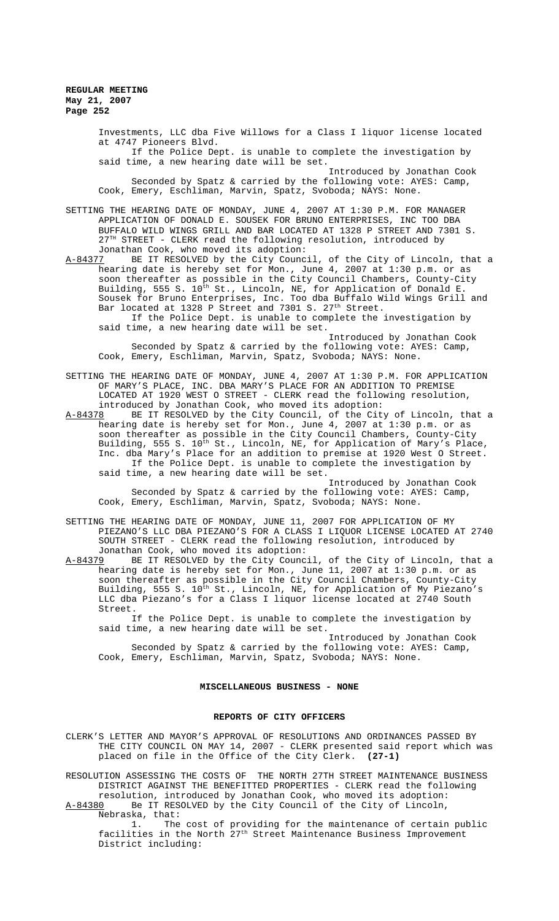Investments, LLC dba Five Willows for a Class I liquor license located at 4747 Pioneers Blvd. If the Police Dept. is unable to complete the investigation by said time, a new hearing date will be set. Introduced by Jonathan Cook Seconded by Spatz & carried by the following vote: AYES: Camp, Cook, Emery, Eschliman, Marvin, Spatz, Svoboda; NAYS: None. SETTING THE HEARING DATE OF MONDAY, JUNE 4, 2007 AT 1:30 P.M. FOR MANAGER APPLICATION OF DONALD E. SOUSEK FOR BRUNO ENTERPRISES, INC TOO DBA BUFFALO WILD WINGS GRILL AND BAR LOCATED AT 1328 P STREET AND 7301 S.  $27<sup>TH</sup>$  STREET - CLERK read the following resolution, introduced by Jonathan Cook, who moved its adoption:<br>A-84377 BE IT RESOLVED by the City Counc A-84377 BE IT RESOLVED by the City Council, of the City of Lincoln, that a hearing date is hereby set for Mon., June 4, 2007 at 1:30 p.m. or as soon thereafter as possible in the City Council Chambers, County-City Building, 555 S. 10<sup>th</sup> St., Lincoln, NE, for Application of Donald E. Sousek for Bruno Enterprises, Inc. Too dba Buffalo Wild Wings Grill and

Bar located at 1328 P Street and 7301 S. 27<sup>th</sup> Street. If the Police Dept. is unable to complete the investigation by said time, a new hearing date will be set.

Introduced by Jonathan Cook Seconded by Spatz & carried by the following vote: AYES: Camp, Cook, Emery, Eschliman, Marvin, Spatz, Svoboda; NAYS: None.

- SETTING THE HEARING DATE OF MONDAY, JUNE 4, 2007 AT 1:30 P.M. FOR APPLICATION OF MARY'S PLACE, INC. DBA MARY'S PLACE FOR AN ADDITION TO PREMISE LOCATED AT 1920 WEST O STREET - CLERK read the following resolution, introduced by Jonathan Cook, who moved its adoption:<br>A-84378 BE IT RESOLVED by the City Council, of the City
- BE IT RESOLVED by the City Council, of the City of Lincoln, that a hearing date is hereby set for Mon., June 4, 2007 at 1:30 p.m. or as soon thereafter as possible in the City Council Chambers, County-City Building, 555 S. 10<sup>th</sup> St., Lincoln, NE, for Application of Mary's Place, Inc. dba Mary's Place for an addition to premise at 1920 West O Street. If the Police Dept. is unable to complete the investigation by said time, a new hearing date will be set.

Introduced by Jonathan Cook Seconded by Spatz & carried by the following vote: AYES: Camp, Cook, Emery, Eschliman, Marvin, Spatz, Svoboda; NAYS: None.

- SETTING THE HEARING DATE OF MONDAY, JUNE 11, 2007 FOR APPLICATION OF MY PIEZANO'S LLC DBA PIEZANO'S FOR A CLASS I LIQUOR LICENSE LOCATED AT 2740 SOUTH STREET - CLERK read the following resolution, introduced by Jonathan Cook, who moved its adoption:
- A-84379 BE IT RESOLVED by the City Council, of the City of Lincoln, that a hearing date is hereby set for Mon., June 11, 2007 at 1:30 p.m. or as soon thereafter as possible in the City Council Chambers, County-City Building, 555 S. 10<sup>th</sup> St., Lincoln, NE, for Application of My Piezano's LLC dba Piezano's for a Class I liquor license located at 2740 South Street.

If the Police Dept. is unable to complete the investigation by said time, a new hearing date will be set.

Introduced by Jonathan Cook Seconded by Spatz & carried by the following vote: AYES: Camp, Cook, Emery, Eschliman, Marvin, Spatz, Svoboda; NAYS: None.

## **MISCELLANEOUS BUSINESS - NONE**

#### **REPORTS OF CITY OFFICERS**

CLERK'S LETTER AND MAYOR'S APPROVAL OF RESOLUTIONS AND ORDINANCES PASSED BY THE CITY COUNCIL ON MAY 14, 2007 - CLERK presented said report which was placed on file in the Office of the City Clerk. **(27-1)**

RESOLUTION ASSESSING THE COSTS OF THE NORTH 27TH STREET MAINTENANCE BUSINESS DISTRICT AGAINST THE BENEFITTED PROPERTIES - CLERK read the following resolution, introduced by Jonathan Cook, who moved its adoption:<br>A-84380 Be IT RESOLVED by the City Council of the City of Lincoln, Be IT RESOLVED by the City Council of the City of Lincoln,

Nebraska, that:

1. The cost of providing for the maintenance of certain public facilities in the North 27th Street Maintenance Business Improvement District including: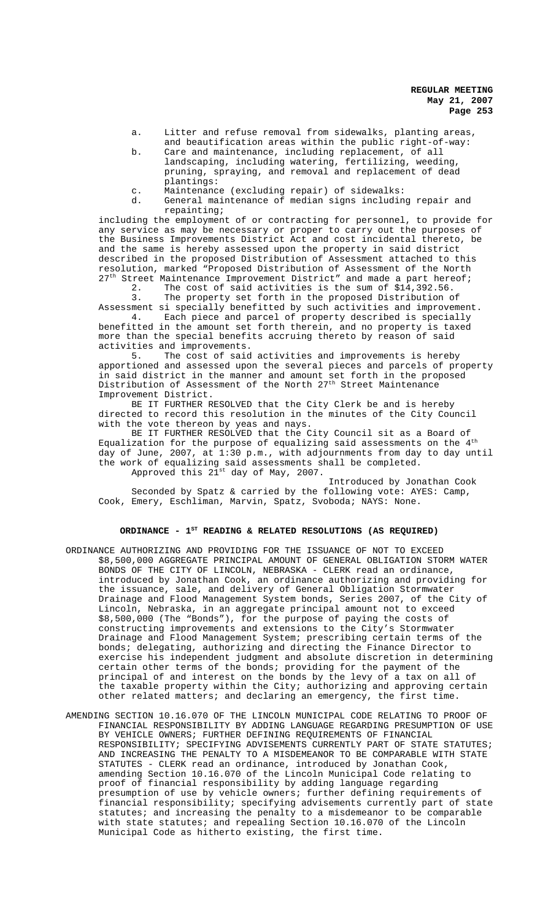- a. Litter and refuse removal from sidewalks, planting areas, and beautification areas within the public right-of-way:
- b. Care and maintenance, including replacement, of all landscaping, including watering, fertilizing, weeding, pruning, spraying, and removal and replacement of dead plantings:
- c. Maintenance (excluding repair) of sidewalks:
- d. General maintenance of median signs including repair and repainting;

including the employment of or contracting for personnel, to provide for any service as may be necessary or proper to carry out the purposes of the Business Improvements District Act and cost incidental thereto, be and the same is hereby assessed upon the property in said district described in the proposed Distribution of Assessment attached to this resolution, marked "Proposed Distribution of Assessment of the North  $27<sup>th</sup>$  Street Maintenance Improvement District" and made a part hereof;

2. The cost of said activities is the sum of \$14,392.56.<br>3. The property set forth in the proposed Distribution c

The property set forth in the proposed Distribution of Assessment si specially benefitted by such activities and improvement.

4. Each piece and parcel of property described is specially benefitted in the amount set forth therein, and no property is taxed more than the special benefits accruing thereto by reason of said activities and improvements.<br>5. The cost of said

The cost of said activities and improvements is hereby apportioned and assessed upon the several pieces and parcels of property in said district in the manner and amount set forth in the proposed Distribution of Assessment of the North 27<sup>th</sup> Street Maintenance Improvement District.

BE IT FURTHER RESOLVED that the City Clerk be and is hereby directed to record this resolution in the minutes of the City Council with the vote thereon by yeas and nays.

BE IT FURTHER RESOLVED that the City Council sit as a Board of Equalization for the purpose of equalizing said assessments on the  $4^\mathrm{th}$ day of June, 2007, at 1:30 p.m., with adjournments from day to day until the work of equalizing said assessments shall be completed.

Approved this 21<sup>st</sup> day of May, 2007.

Introduced by Jonathan Cook Seconded by Spatz & carried by the following vote: AYES: Camp, Cook, Emery, Eschliman, Marvin, Spatz, Svoboda; NAYS: None.

## ORDINANCE - 1<sup>st</sup> READING & RELATED RESOLUTIONS (AS REQUIRED)

- ORDINANCE AUTHORIZING AND PROVIDING FOR THE ISSUANCE OF NOT TO EXCEED \$8,500,000 AGGREGATE PRINCIPAL AMOUNT OF GENERAL OBLIGATION STORM WATER BONDS OF THE CITY OF LINCOLN, NEBRASKA - CLERK read an ordinance, introduced by Jonathan Cook, an ordinance authorizing and providing for the issuance, sale, and delivery of General Obligation Stormwater Drainage and Flood Management System bonds, Series 2007, of the City of Lincoln, Nebraska, in an aggregate principal amount not to exceed \$8,500,000 (The "Bonds"), for the purpose of paying the costs of constructing improvements and extensions to the City's Stormwater Drainage and Flood Management System; prescribing certain terms of the bonds; delegating, authorizing and directing the Finance Director to exercise his independent judgment and absolute discretion in determining certain other terms of the bonds; providing for the payment of the principal of and interest on the bonds by the levy of a tax on all of the taxable property within the City; authorizing and approving certain other related matters; and declaring an emergency, the first time.
- AMENDING SECTION 10.16.070 OF THE LINCOLN MUNICIPAL CODE RELATING TO PROOF OF FINANCIAL RESPONSIBILITY BY ADDING LANGUAGE REGARDING PRESUMPTION OF USE BY VEHICLE OWNERS; FURTHER DEFINING REQUIREMENTS OF FINANCIAL RESPONSIBILITY; SPECIFYING ADVISEMENTS CURRENTLY PART OF STATE STATUTES; AND INCREASING THE PENALTY TO A MISDEMEANOR TO BE COMPARABLE WITH STATE STATUTES - CLERK read an ordinance, introduced by Jonathan Cook, amending Section 10.16.070 of the Lincoln Municipal Code relating to proof of financial responsibility by adding language regarding presumption of use by vehicle owners; further defining requirements of financial responsibility; specifying advisements currently part of state statutes; and increasing the penalty to a misdemeanor to be comparable with state statutes; and repealing Section 10.16.070 of the Lincoln Municipal Code as hitherto existing, the first time.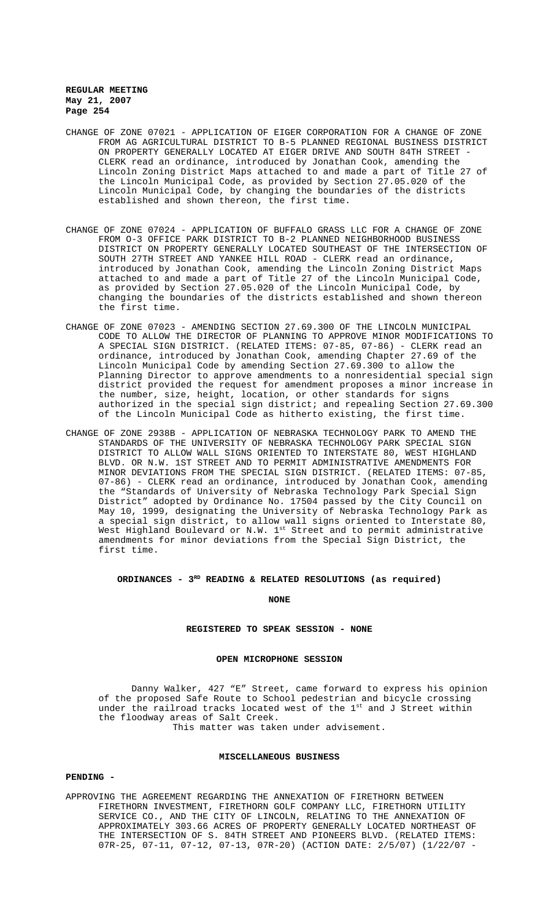- CHANGE OF ZONE 07021 APPLICATION OF EIGER CORPORATION FOR A CHANGE OF ZONE FROM AG AGRICULTURAL DISTRICT TO B-5 PLANNED REGIONAL BUSINESS DISTRICT ON PROPERTY GENERALLY LOCATED AT EIGER DRIVE AND SOUTH 84TH STREET - CLERK read an ordinance, introduced by Jonathan Cook, amending the Lincoln Zoning District Maps attached to and made a part of Title 27 of the Lincoln Municipal Code, as provided by Section 27.05.020 of the Lincoln Municipal Code, by changing the boundaries of the districts established and shown thereon, the first time.
- CHANGE OF ZONE 07024 APPLICATION OF BUFFALO GRASS LLC FOR A CHANGE OF ZONE FROM O-3 OFFICE PARK DISTRICT TO B-2 PLANNED NEIGHBORHOOD BUSINESS DISTRICT ON PROPERTY GENERALLY LOCATED SOUTHEAST OF THE INTERSECTION OF SOUTH 27TH STREET AND YANKEE HILL ROAD - CLERK read an ordinance, introduced by Jonathan Cook, amending the Lincoln Zoning District Maps attached to and made a part of Title 27 of the Lincoln Municipal Code, as provided by Section 27.05.020 of the Lincoln Municipal Code, by changing the boundaries of the districts established and shown thereon the first time.
- CHANGE OF ZONE 07023 AMENDING SECTION 27.69.300 OF THE LINCOLN MUNICIPAL CODE TO ALLOW THE DIRECTOR OF PLANNING TO APPROVE MINOR MODIFICATIONS TO A SPECIAL SIGN DISTRICT. (RELATED ITEMS: 07-85, 07-86) - CLERK read an ordinance, introduced by Jonathan Cook, amending Chapter 27.69 of the Lincoln Municipal Code by amending Section 27.69.300 to allow the Planning Director to approve amendments to a nonresidential special sign district provided the request for amendment proposes a minor increase in the number, size, height, location, or other standards for signs authorized in the special sign district; and repealing Section 27.69.300 of the Lincoln Municipal Code as hitherto existing, the first time.
- CHANGE OF ZONE 2938B APPLICATION OF NEBRASKA TECHNOLOGY PARK TO AMEND THE STANDARDS OF THE UNIVERSITY OF NEBRASKA TECHNOLOGY PARK SPECIAL SIGN DISTRICT TO ALLOW WALL SIGNS ORIENTED TO INTERSTATE 80, WEST HIGHLAND BLVD. OR N.W. 1ST STREET AND TO PERMIT ADMINISTRATIVE AMENDMENTS FOR MINOR DEVIATIONS FROM THE SPECIAL SIGN DISTRICT. (RELATED ITEMS: 07-85, 07-86) - CLERK read an ordinance, introduced by Jonathan Cook, amending the "Standards of University of Nebraska Technology Park Special Sign District" adopted by Ordinance No. 17504 passed by the City Council on May 10, 1999, designating the University of Nebraska Technology Park as a special sign district, to allow wall signs oriented to Interstate 80, West Highland Boulevard or N.W.  $1^{\rm st}$  Street and to permit administrative amendments for minor deviations from the Special Sign District, the first time.

#### **ORDINANCES - 3RD READING & RELATED RESOLUTIONS (as required)**

**NONE**

## **REGISTERED TO SPEAK SESSION - NONE**

#### **OPEN MICROPHONE SESSION**

Danny Walker, 427 "E" Street, came forward to express his opinion of the proposed Safe Route to School pedestrian and bicycle crossing under the railroad tracks located west of the  $1^{st}$  and J Street within the floodway areas of Salt Creek. This matter was taken under advisement.

#### **MISCELLANEOUS BUSINESS**

#### **PENDING -**

APPROVING THE AGREEMENT REGARDING THE ANNEXATION OF FIRETHORN BETWEEN FIRETHORN INVESTMENT, FIRETHORN GOLF COMPANY LLC, FIRETHORN UTILITY SERVICE CO., AND THE CITY OF LINCOLN, RELATING TO THE ANNEXATION OF APPROXIMATELY 303.66 ACRES OF PROPERTY GENERALLY LOCATED NORTHEAST OF THE INTERSECTION OF S. 84TH STREET AND PIONEERS BLVD. (RELATED ITEMS: 07R-25, 07-11, 07-12, 07-13, 07R-20) (ACTION DATE: 2/5/07) (1/22/07 -